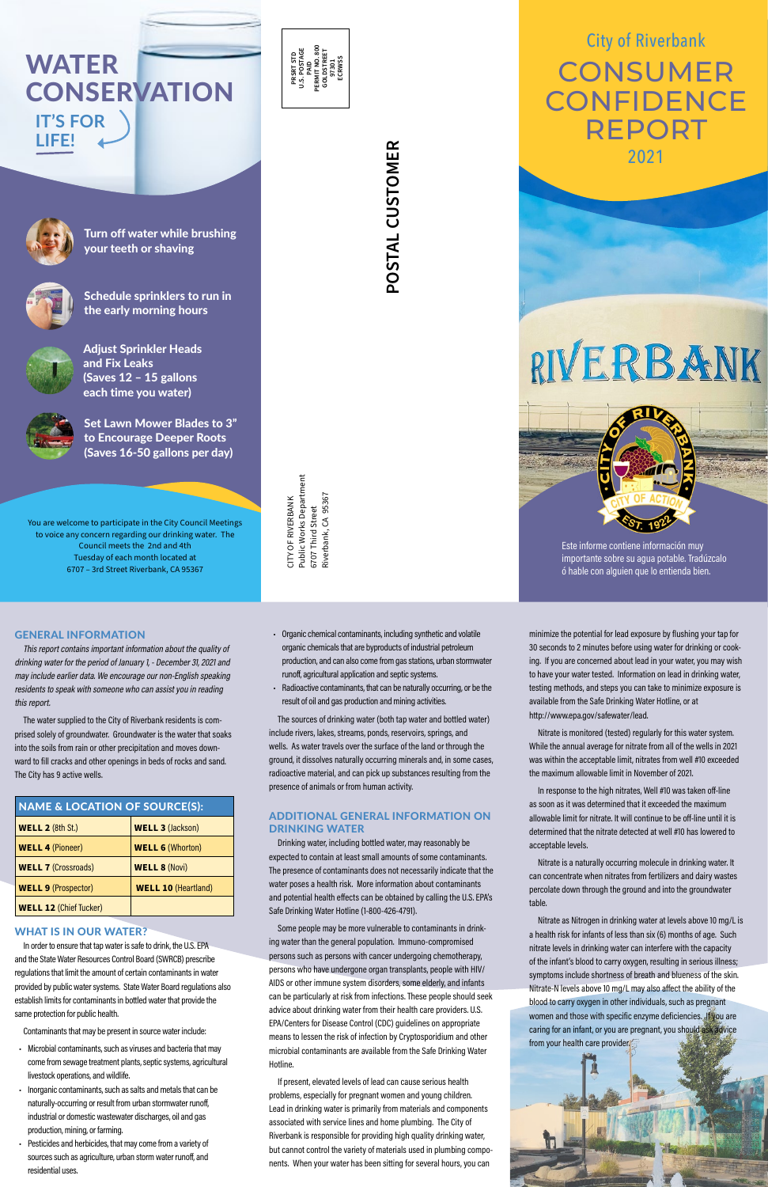**CONSERVATION** 



**CONSUMER CONFIDENCE** REPORT City of Riverbank 2021

RIVERBANK



Este informe contiene información muy importante sobre su agua potable. Tradúzcalo ó hable con alguien que lo entienda bien.

Turn off water while brushing your teeth or shaving



Schedule sprinklers to run in the early morning hours



Adjust Sprinkler Heads and Fix Leaks (Saves 12 – 15 gallons each time you water)

Public Works Department<br>6707 Third Street<br>Riverbank, CA 95367 Public Works Department Riverbank, CA 95367 CITY OF RIVERBANK CITY OF RIVERBANK 6707 Third Street

# **POSTAL CUSTOMER POSTAL CUSTOMER**

Set Lawn Mower Blades to 3" to Encourage Deeper Roots (Saves 16-50 gallons per day)

**IT'S FOR** 

**LIFE!**

WATER

You are welcome to participate in the City Council Meetings to voice any concern regarding our drinking water. The Council meets the 2nd and 4th Tuesday of each month located at 6707 – 3rd Street Riverbank, CA 95367

- Organic chemical contaminants, including synthetic and volatile organic chemicals that are byproducts of industrial petroleum production, and can also come from gas stations, urban stormwater runoff, agricultural application and septic systems.
- Radioactive contaminants, that can be naturally occurring, or be the result of oil and gas production and mining activities.

The sources of drinking water (both tap water and bottled water) include rivers, lakes, streams, ponds, reservoirs, springs, and wells. As water travels over the surface of the land or through the ground, it dissolves naturally occurring minerals and, in some cases, radioactive material, and can pick up substances resulting from the presence of animals or from human activity.

# ADDITIONAL GENERAL INFORMATION ON DRINKING WATER

Drinking water, including bottled water, may reasonably be expected to contain at least small amounts of some contaminants. The presence of contaminants does not necessarily indicate that the water poses a health risk. More information about contaminants and potential health effects can be obtained by calling the U.S. EPA's Safe Drinking Water Hotline (1-800-426-4791).

Some people may be more vulnerable to contaminants in drinking water than the general population. Immuno-compromised persons such as persons with cancer undergoing chemotherapy, persons who have undergone organ transplants, people with HIV/ AIDS or other immune system disorders, some elderly, and infants can be particularly at risk from infections. These people should seek advice about drinking water from their health care providers. U.S. EPA/Centers for Disease Control (CDC) guidelines on appropriate means to lessen the risk of infection by Cryptosporidium and other microbial contaminants are available from the Safe Drinking Water Hotline.

If present, elevated levels of lead can cause serious health problems, especially for pregnant women and young children. Lead in drinking water is primarily from materials and components associated with service lines and home plumbing. The City of Riverbank is responsible for providing high quality drinking water, but cannot control the variety of materials used in plumbing components. When your water has been sitting for several hours, you can

minimize the potential for lead exposure by flushing your tap for 30 seconds to 2 minutes before using water for drinking or cooking. If you are concerned about lead in your water, you may wish to have your water tested. Information on lead in drinking water, testing methods, and steps you can take to minimize exposure is available from the Safe Drinking Water Hotline, or at <http://www.epa.gov/safewater/lead>.

Nitrate is monitored (tested) regularly for this water system. While the annual average for nitrate from all of the wells in 2021 was within the acceptable limit, nitrates from well #10 exceeded the maximum allowable limit in November of 2021.

In response to the high nitrates, Well #10 was taken off-line as soon as it was determined that it exceeded the maximum allowable limit for nitrate. It will continue to be off-line until it is determined that the nitrate detected at well #10 has lowered to acceptable levels.

Nitrate is a naturally occurring molecule in drinking water. It can concentrate when nitrates from fertilizers and dairy wastes percolate down through the ground and into the groundwater table.

Nitrate as Nitrogen in drinking water at levels above 10 mg/L is a health risk for infants of less than six (6) months of age. Such nitrate levels in drinking water can interfere with the capacity of the infant's blood to carry oxygen, resulting in serious illness; symptoms include shortness of breath and blueness of the skin. Nitrate-N levels above 10 mg/L may also affect the ability of the blood to carry oxygen in other individuals, such as pregnant women and those with specific enzyme deficiencies. If you are caring for an infant, or you are pregnant, you should ask advice from your health care provider.

# GENERAL INFORMATION

This report contains important information about the quality of drinking water for the period of January 1, - December 31, 2021 and may include earlier data. We encourage our non-English speaking residents to speak with someone who can assist you in reading this report.

The water supplied to the City of Riverbank residents is comprised solely of groundwater. Groundwater is the water that soaks into the soils from rain or other precipitation and moves downward to fill cracks and other openings in beds of rocks and sand. The City has 9 active wells.

| <b>NAME &amp; LOCATION OF SOURCE(S):</b> |                            |  |  |  |  |  |
|------------------------------------------|----------------------------|--|--|--|--|--|
| <b>WELL 2 (8th St.)</b>                  | <b>WELL 3 (Jackson)</b>    |  |  |  |  |  |
| <b>WELL 4 (Pioneer)</b>                  | <b>WELL 6 (Whorton)</b>    |  |  |  |  |  |
| <b>WELL 7 (Crossroads)</b>               | <b>WELL 8 (Novi)</b>       |  |  |  |  |  |
| <b>WELL 9 (Prospector)</b>               | <b>WELL 10 (Heartland)</b> |  |  |  |  |  |
| <b>WELL 12 (Chief Tucker)</b>            |                            |  |  |  |  |  |

### WHAT IS IN OUR WATER?

In order to ensure that tap water is safe to drink, the U.S. EPA and the State Water Resources Control Board (SWRCB) prescribe regulations that limit the amount of certain contaminants in water provided by public water systems. State Water Board regulations also establish limits for contaminants in bottled water that provide the same protection for public health.

Contaminants that may be present in source water include:

- Microbial contaminants, such as viruses and bacteria that may come from sewage treatment plants, septic systems, agricultural livestock operations, and wildlife.
- Inorganic contaminants, such as salts and metals that can be naturally-occurring or result from urban stormwater runoff, industrial or domestic wastewater discharges, oil and gas production, mining, or farming.
- Pesticides and herbicides, that may come from a variety of sources such as agriculture, urban storm water runoff, and residential uses.